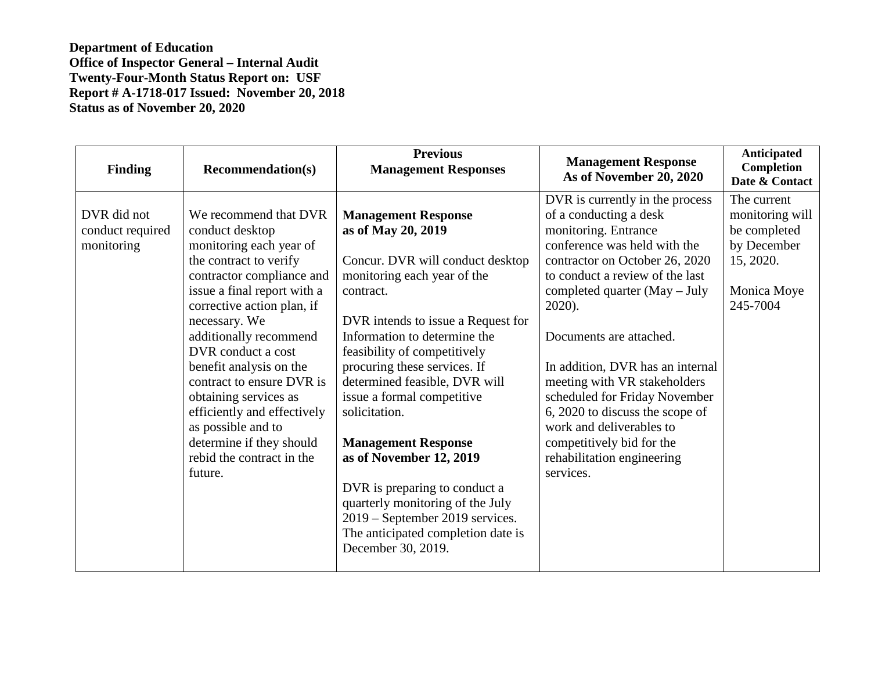**Department of Education Office of Inspector General – Internal Audit Twenty-Four-Month Status Report on: USF Report # A-1718-017 Issued: November 20, 2018 Status as of November 20, 2020** 

| <b>Finding</b>                                | <b>Recommendation(s)</b>                                                                                                                                                                                                                                                                                                                                                                                                                                           | <b>Previous</b><br><b>Management Responses</b>                                                                                                                                                                                                                                                                                                                                                                                                                                                                                                                                      | <b>Management Response</b><br>As of November 20, 2020                                                                                                                                                                                                                                                                                                                                                                                                                                                    | <b>Anticipated</b><br>Completion<br>Date & Contact                                                    |
|-----------------------------------------------|--------------------------------------------------------------------------------------------------------------------------------------------------------------------------------------------------------------------------------------------------------------------------------------------------------------------------------------------------------------------------------------------------------------------------------------------------------------------|-------------------------------------------------------------------------------------------------------------------------------------------------------------------------------------------------------------------------------------------------------------------------------------------------------------------------------------------------------------------------------------------------------------------------------------------------------------------------------------------------------------------------------------------------------------------------------------|----------------------------------------------------------------------------------------------------------------------------------------------------------------------------------------------------------------------------------------------------------------------------------------------------------------------------------------------------------------------------------------------------------------------------------------------------------------------------------------------------------|-------------------------------------------------------------------------------------------------------|
| DVR did not<br>conduct required<br>monitoring | We recommend that DVR<br>conduct desktop<br>monitoring each year of<br>the contract to verify<br>contractor compliance and<br>issue a final report with a<br>corrective action plan, if<br>necessary. We<br>additionally recommend<br>DVR conduct a cost<br>benefit analysis on the<br>contract to ensure DVR is<br>obtaining services as<br>efficiently and effectively<br>as possible and to<br>determine if they should<br>rebid the contract in the<br>future. | <b>Management Response</b><br>as of May 20, 2019<br>Concur. DVR will conduct desktop<br>monitoring each year of the<br>contract.<br>DVR intends to issue a Request for<br>Information to determine the<br>feasibility of competitively<br>procuring these services. If<br>determined feasible, DVR will<br>issue a formal competitive<br>solicitation.<br><b>Management Response</b><br>as of November 12, 2019<br>DVR is preparing to conduct a<br>quarterly monitoring of the July<br>2019 – September 2019 services.<br>The anticipated completion date is<br>December 30, 2019. | DVR is currently in the process<br>of a conducting a desk<br>monitoring. Entrance<br>conference was held with the<br>contractor on October 26, 2020<br>to conduct a review of the last<br>completed quarter (May - July<br>2020).<br>Documents are attached.<br>In addition, DVR has an internal<br>meeting with VR stakeholders<br>scheduled for Friday November<br>6, 2020 to discuss the scope of<br>work and deliverables to<br>competitively bid for the<br>rehabilitation engineering<br>services. | The current<br>monitoring will<br>be completed<br>by December<br>15, 2020.<br>Monica Moye<br>245-7004 |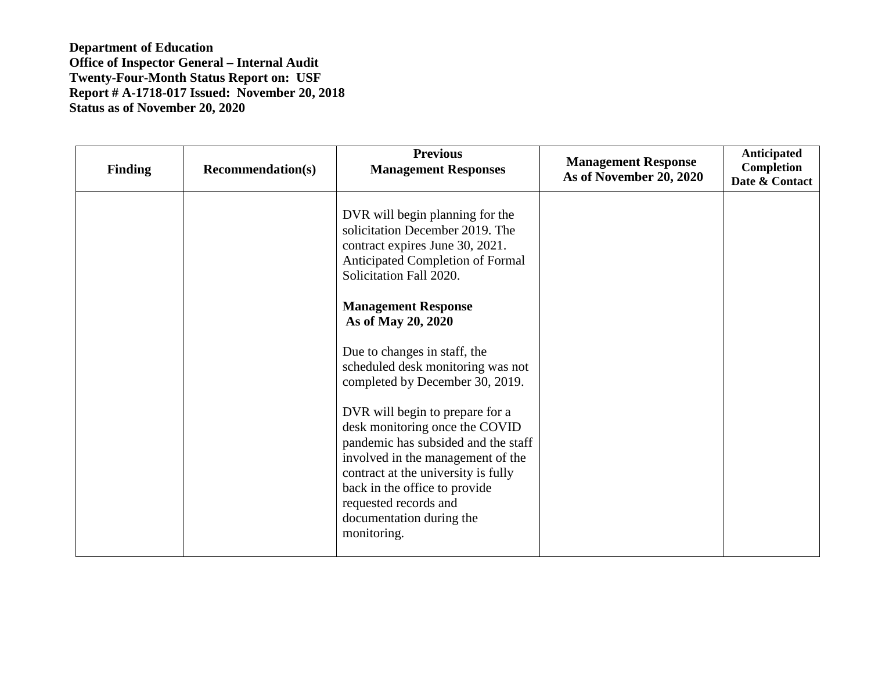**Department of Education Office of Inspector General – Internal Audit Twenty-Four-Month Status Report on: USF Report # A-1718-017 Issued: November 20, 2018 Status as of November 20, 2020** 

| <b>Finding</b> | <b>Recommendation(s)</b> | <b>Previous</b><br><b>Management Responses</b>                                                                                                                                                                                                                                            | <b>Management Response</b><br>As of November 20, 2020 | <b>Anticipated</b><br>Completion<br>Date & Contact |
|----------------|--------------------------|-------------------------------------------------------------------------------------------------------------------------------------------------------------------------------------------------------------------------------------------------------------------------------------------|-------------------------------------------------------|----------------------------------------------------|
|                |                          | DVR will begin planning for the<br>solicitation December 2019. The<br>contract expires June 30, 2021.<br>Anticipated Completion of Formal<br>Solicitation Fall 2020.                                                                                                                      |                                                       |                                                    |
|                |                          | <b>Management Response</b><br>As of May 20, 2020                                                                                                                                                                                                                                          |                                                       |                                                    |
|                |                          | Due to changes in staff, the<br>scheduled desk monitoring was not<br>completed by December 30, 2019.                                                                                                                                                                                      |                                                       |                                                    |
|                |                          | DVR will begin to prepare for a<br>desk monitoring once the COVID<br>pandemic has subsided and the staff<br>involved in the management of the<br>contract at the university is fully<br>back in the office to provide<br>requested records and<br>documentation during the<br>monitoring. |                                                       |                                                    |